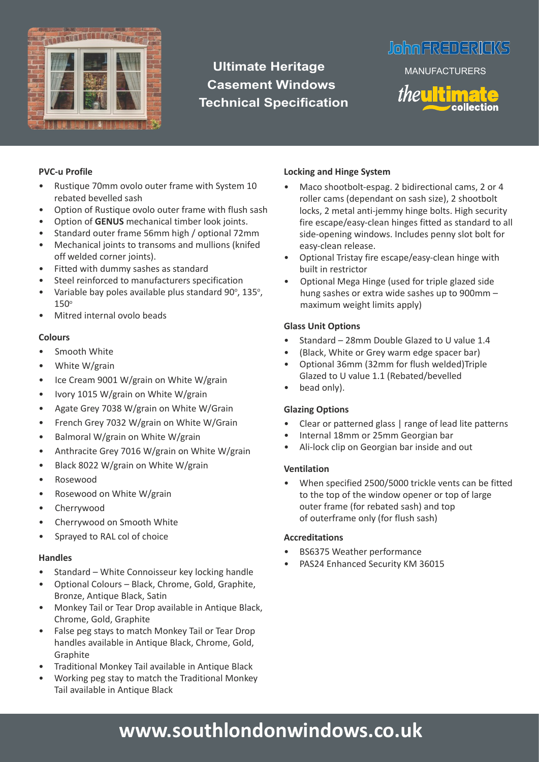

# **Ultimate Heritage Casement Windows Technical Specification**

# **JohnFREDERICKS**

MANUFACTURERS



#### **PVC-u Profile**

- Rustique 70mm ovolo outer frame with System 10 rebated bevelled sash
- Option of Rustique ovolo outer frame with flush sash
- Option of **GENUS** mechanical timber look joints.
- Standard outer frame 56mm high / optional 72mm • Mechanical joints to transoms and mullions (knifed
- off welded corner joints).
- Fitted with dummy sashes as standard
- Steel reinforced to manufacturers specification
- Variable bay poles available plus standard 90°, 135°, 150<sup>o</sup>
- Mitred internal ovolo beads

#### **Colours**

- Smooth White
- White W/grain
- Ice Cream 9001 W/grain on White W/grain
- Ivory 1015 W/grain on White W/grain
- Agate Grey 7038 W/grain on White W/Grain
- French Grey 7032 W/grain on White W/Grain
- Balmoral W/grain on White W/grain
- Anthracite Grey 7016 W/grain on White W/grain
- Black 8022 W/grain on White W/grain
- Rosewood
- Rosewood on White W/grain
- Cherrywood
- Cherrywood on Smooth White
- Sprayed to RAL col of choice

#### **Handles**

- Standard White Connoisseur key locking handle
- Optional Colours Black, Chrome, Gold, Graphite, Bronze, Antique Black, Satin
- Monkey Tail or Tear Drop available in Antique Black, Chrome, Gold, Graphite
- False peg stays to match Monkey Tail or Tear Drop handles available in Antique Black, Chrome, Gold, Graphite
- Traditional Monkey Tail available in Antique Black
- Working peg stay to match the Traditional Monkey Tail available in Antique Black

## **Locking and Hinge System**

- Maco shootbolt-espag. 2 bidirectional cams, 2 or 4 roller cams (dependant on sash size), 2 shootbolt locks, 2 metal anti-jemmy hinge bolts. High security fire escape/easy-clean hinges fitted as standard to all side-opening windows. Includes penny slot bolt for easy-clean release.
- Optional Tristay fire escape/easy-clean hinge with built in restrictor
- Optional Mega Hinge (used for triple glazed side hung sashes or extra wide sashes up to 900mm – maximum weight limits apply)

## **Glass Unit Options**

- Standard 28mm Double Glazed to U value 1.4
- (Black, White or Grey warm edge spacer bar)
- Optional 36mm (32mm for flush welded)Triple Glazed to U value 1.1 (Rebated/bevelled
- bead only).

### **Glazing Options**

- Clear or patterned glass | range of lead lite patterns
- Internal 18mm or 25mm Georgian bar
- Ali-lock clip on Georgian bar inside and out

### **Ventilation**

When specified 2500/5000 trickle vents can be fitted to the top of the window opener or top of large outer frame (for rebated sash) and top of outerframe only (for flush sash)

### **Accreditations**

- BS6375 Weather performance
- PAS24 Enhanced Security KM 36015

# **www.southlondonwindows.co.uk**